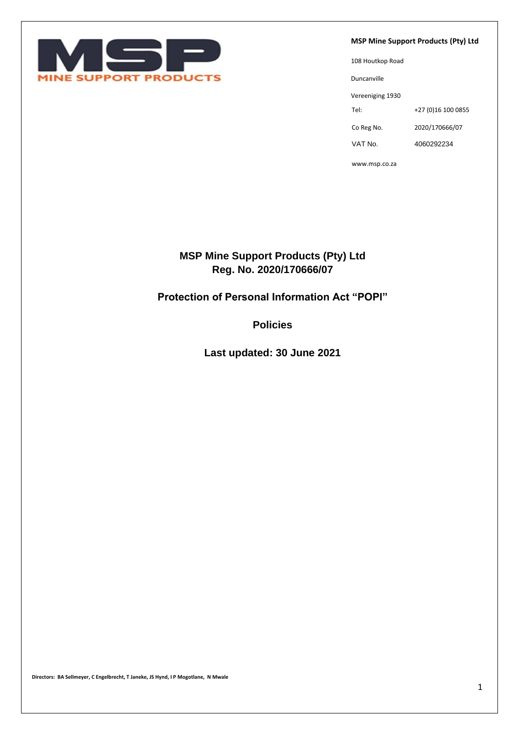

**MSP Mine Support Products (Pty) Ltd**

108 Houtkop Road Duncanville Vereeniging 1930 Tel: +27 (0)16 100 0855 Co Reg No. 2020/170666/07 VAT No. 4060292234

www.msp.co.za

# **MSP Mine Support Products (Pty) Ltd Reg. No. 2020/170666/07**

# **Protection of Personal Information Act "POPI"**

**Policies** 

**Last updated: 30 June 2021**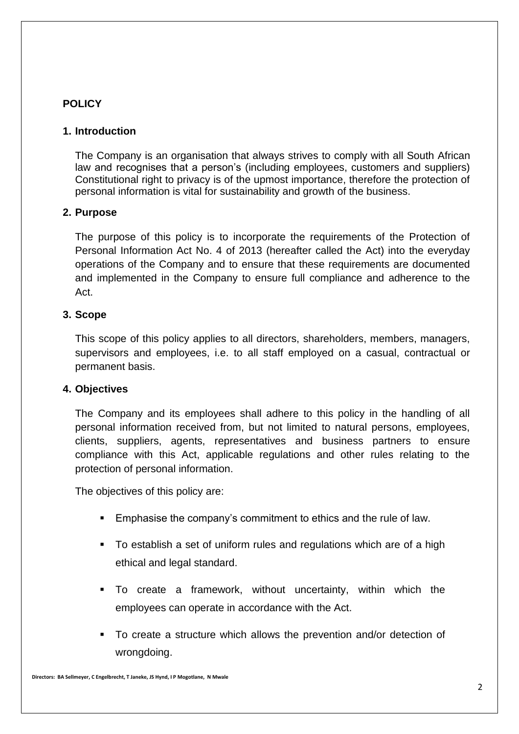## **POLICY**

### **1. Introduction**

The Company is an organisation that always strives to comply with all South African law and recognises that a person's (including employees, customers and suppliers) Constitutional right to privacy is of the upmost importance, therefore the protection of personal information is vital for sustainability and growth of the business.

### **2. Purpose**

The purpose of this policy is to incorporate the requirements of the Protection of Personal Information Act No. 4 of 2013 (hereafter called the Act) into the everyday operations of the Company and to ensure that these requirements are documented and implemented in the Company to ensure full compliance and adherence to the Act.

### **3. Scope**

This scope of this policy applies to all directors, shareholders, members, managers, supervisors and employees, i.e. to all staff employed on a casual, contractual or permanent basis.

#### **4. Objectives**

The Company and its employees shall adhere to this policy in the handling of all personal information received from, but not limited to natural persons, employees, clients, suppliers, agents, representatives and business partners to ensure compliance with this Act, applicable regulations and other rules relating to the protection of personal information.

The objectives of this policy are:

- Emphasise the company's commitment to ethics and the rule of law.
- To establish a set of uniform rules and regulations which are of a high ethical and legal standard.
- To create a framework, without uncertainty, within which the employees can operate in accordance with the Act.
- To create a structure which allows the prevention and/or detection of wrongdoing.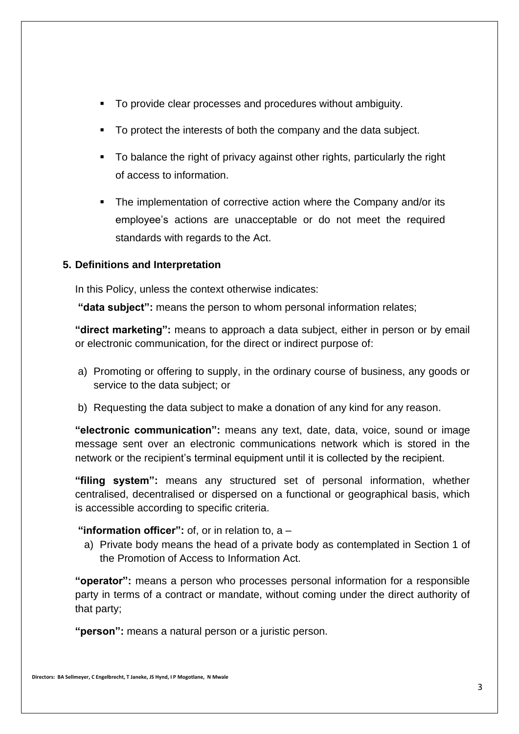- To provide clear processes and procedures without ambiguity.
- To protect the interests of both the company and the data subject.
- To balance the right of privacy against other rights, particularly the right of access to information.
- The implementation of corrective action where the Company and/or its employee's actions are unacceptable or do not meet the required standards with regards to the Act.

## **5. Definitions and Interpretation**

In this Policy, unless the context otherwise indicates:

**"data subject":** means the person to whom personal information relates;

**"direct marketing":** means to approach a data subject, either in person or by email or electronic communication, for the direct or indirect purpose of:

- a) Promoting or offering to supply, in the ordinary course of business, any goods or service to the data subject; or
- b) Requesting the data subject to make a donation of any kind for any reason.

**"electronic communication":** means any text, date, data, voice, sound or image message sent over an electronic communications network which is stored in the network or the recipient's terminal equipment until it is collected by the recipient.

**"filing system":** means any structured set of personal information, whether centralised, decentralised or dispersed on a functional or geographical basis, which is accessible according to specific criteria.

## **"information officer":** of, or in relation to, a –

a) Private body means the head of a private body as contemplated in Section 1 of the Promotion of Access to Information Act.

**"operator":** means a person who processes personal information for a responsible party in terms of a contract or mandate, without coming under the direct authority of that party;

**"person":** means a natural person or a juristic person.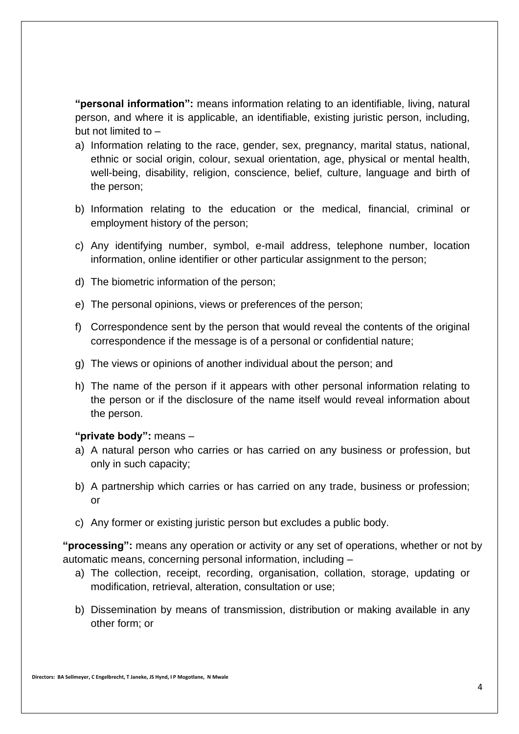**"personal information":** means information relating to an identifiable, living, natural person, and where it is applicable, an identifiable, existing juristic person, including, but not limited to –

- a) Information relating to the race, gender, sex, pregnancy, marital status, national, ethnic or social origin, colour, sexual orientation, age, physical or mental health, well-being, disability, religion, conscience, belief, culture, language and birth of the person;
- b) Information relating to the education or the medical, financial, criminal or employment history of the person;
- c) Any identifying number, symbol, e-mail address, telephone number, location information, online identifier or other particular assignment to the person;
- d) The biometric information of the person;
- e) The personal opinions, views or preferences of the person;
- f) Correspondence sent by the person that would reveal the contents of the original correspondence if the message is of a personal or confidential nature;
- g) The views or opinions of another individual about the person; and
- h) The name of the person if it appears with other personal information relating to the person or if the disclosure of the name itself would reveal information about the person.

#### **"private body":** means –

- a) A natural person who carries or has carried on any business or profession, but only in such capacity;
- b) A partnership which carries or has carried on any trade, business or profession; or
- c) Any former or existing juristic person but excludes a public body.

**"processing":** means any operation or activity or any set of operations, whether or not by automatic means, concerning personal information, including –

- a) The collection, receipt, recording, organisation, collation, storage, updating or modification, retrieval, alteration, consultation or use;
- b) Dissemination by means of transmission, distribution or making available in any other form; or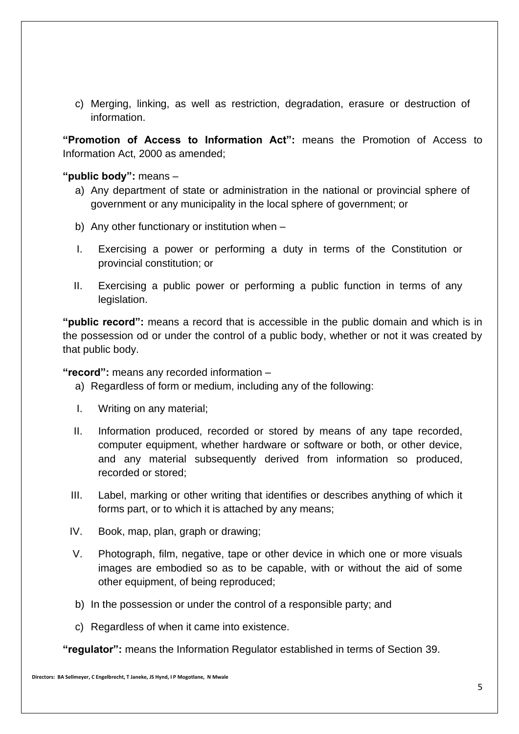c) Merging, linking, as well as restriction, degradation, erasure or destruction of information.

**"Promotion of Access to Information Act":** means the Promotion of Access to Information Act, 2000 as amended;

**"public body":** means –

- a) Any department of state or administration in the national or provincial sphere of government or any municipality in the local sphere of government; or
- b) Any other functionary or institution when –
- I. Exercising a power or performing a duty in terms of the Constitution or provincial constitution; or
- II. Exercising a public power or performing a public function in terms of any legislation.

**"public record":** means a record that is accessible in the public domain and which is in the possession od or under the control of a public body, whether or not it was created by that public body.

**"record":** means any recorded information –

- a) Regardless of form or medium, including any of the following:
- I. Writing on any material;
- II. Information produced, recorded or stored by means of any tape recorded, computer equipment, whether hardware or software or both, or other device, and any material subsequently derived from information so produced, recorded or stored;
- III. Label, marking or other writing that identifies or describes anything of which it forms part, or to which it is attached by any means;
- IV. Book, map, plan, graph or drawing;
- V. Photograph, film, negative, tape or other device in which one or more visuals images are embodied so as to be capable, with or without the aid of some other equipment, of being reproduced;
- b) In the possession or under the control of a responsible party; and
- c) Regardless of when it came into existence.

**"regulator":** means the Information Regulator established in terms of Section 39.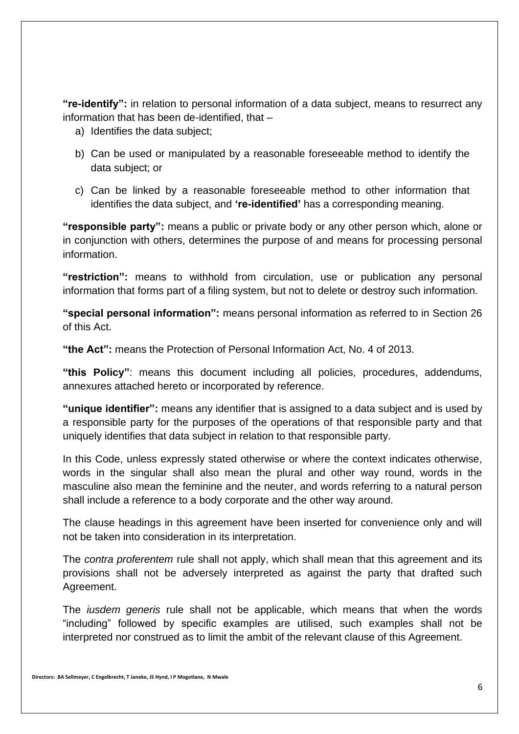**"re-identify":** in relation to personal information of a data subject, means to resurrect any information that has been de-identified, that –

- a) Identifies the data subject;
- b) Can be used or manipulated by a reasonable foreseeable method to identify the data subject; or
- c) Can be linked by a reasonable foreseeable method to other information that identifies the data subject, and **'re-identified'** has a corresponding meaning.

**"responsible party":** means a public or private body or any other person which, alone or in conjunction with others, determines the purpose of and means for processing personal information.

**"restriction":** means to withhold from circulation, use or publication any personal information that forms part of a filing system, but not to delete or destroy such information.

**"special personal information":** means personal information as referred to in Section 26 of this Act.

**"the Act":** means the Protection of Personal Information Act, No. 4 of 2013.

**"this Policy"**: means this document including all policies, procedures, addendums, annexures attached hereto or incorporated by reference.

**"unique identifier":** means any identifier that is assigned to a data subject and is used by a responsible party for the purposes of the operations of that responsible party and that uniquely identifies that data subject in relation to that responsible party.

In this Code, unless expressly stated otherwise or where the context indicates otherwise, words in the singular shall also mean the plural and other way round, words in the masculine also mean the feminine and the neuter, and words referring to a natural person shall include a reference to a body corporate and the other way around.

The clause headings in this agreement have been inserted for convenience only and will not be taken into consideration in its interpretation.

The *contra proferentem* rule shall not apply, which shall mean that this agreement and its provisions shall not be adversely interpreted as against the party that drafted such Agreement.

The *iusdem generis* rule shall not be applicable, which means that when the words "including" followed by specific examples are utilised, such examples shall not be interpreted nor construed as to limit the ambit of the relevant clause of this Agreement.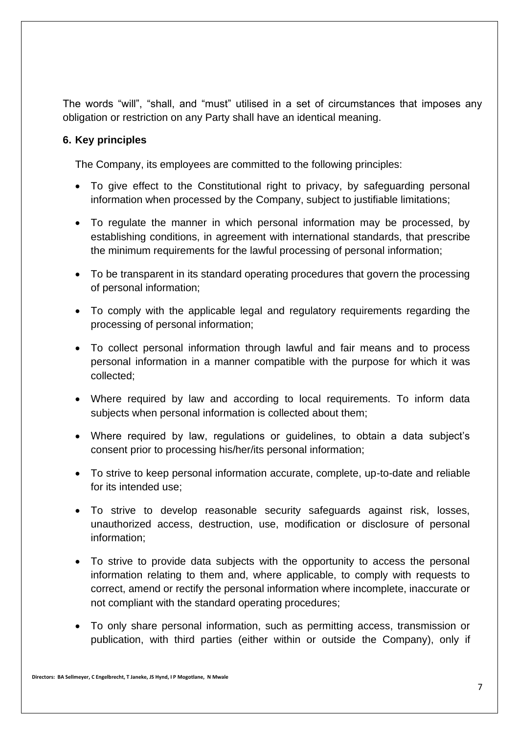The words "will", "shall, and "must" utilised in a set of circumstances that imposes any obligation or restriction on any Party shall have an identical meaning.

## **6. Key principles**

The Company, its employees are committed to the following principles:

- To give effect to the Constitutional right to privacy, by safeguarding personal information when processed by the Company, subject to justifiable limitations;
- To regulate the manner in which personal information may be processed, by establishing conditions, in agreement with international standards, that prescribe the minimum requirements for the lawful processing of personal information;
- To be transparent in its standard operating procedures that govern the processing of personal information;
- To comply with the applicable legal and regulatory requirements regarding the processing of personal information;
- To collect personal information through lawful and fair means and to process personal information in a manner compatible with the purpose for which it was collected;
- Where required by law and according to local requirements. To inform data subjects when personal information is collected about them;
- Where required by law, regulations or guidelines, to obtain a data subject's consent prior to processing his/her/its personal information;
- To strive to keep personal information accurate, complete, up-to-date and reliable for its intended use;
- To strive to develop reasonable security safeguards against risk, losses, unauthorized access, destruction, use, modification or disclosure of personal information;
- To strive to provide data subjects with the opportunity to access the personal information relating to them and, where applicable, to comply with requests to correct, amend or rectify the personal information where incomplete, inaccurate or not compliant with the standard operating procedures;
- To only share personal information, such as permitting access, transmission or publication, with third parties (either within or outside the Company), only if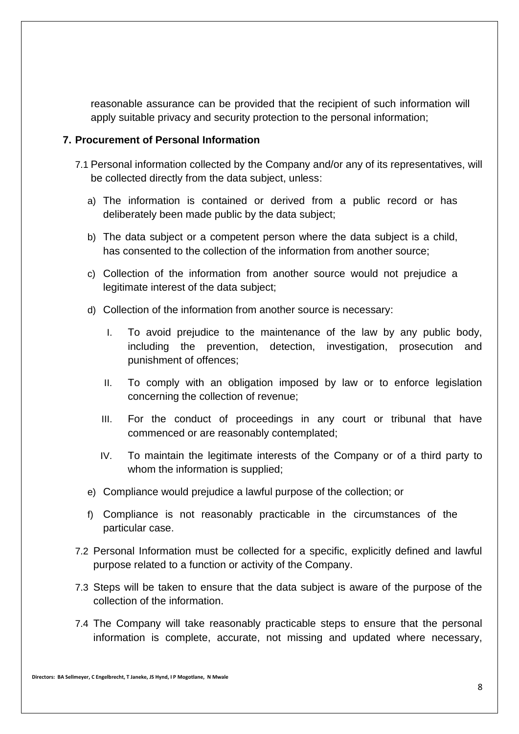reasonable assurance can be provided that the recipient of such information will apply suitable privacy and security protection to the personal information;

#### **7. Procurement of Personal Information**

- 7.1 Personal information collected by the Company and/or any of its representatives, will be collected directly from the data subject, unless:
	- a) The information is contained or derived from a public record or has deliberately been made public by the data subject;
	- b) The data subject or a competent person where the data subject is a child, has consented to the collection of the information from another source;
	- c) Collection of the information from another source would not prejudice a legitimate interest of the data subject;
	- d) Collection of the information from another source is necessary:
		- I. To avoid prejudice to the maintenance of the law by any public body, including the prevention, detection, investigation, prosecution and punishment of offences;
		- II. To comply with an obligation imposed by law or to enforce legislation concerning the collection of revenue;
		- III. For the conduct of proceedings in any court or tribunal that have commenced or are reasonably contemplated;
		- IV. To maintain the legitimate interests of the Company or of a third party to whom the information is supplied;
	- e) Compliance would prejudice a lawful purpose of the collection; or
	- f) Compliance is not reasonably practicable in the circumstances of the particular case.
- 7.2 Personal Information must be collected for a specific, explicitly defined and lawful purpose related to a function or activity of the Company.
- 7.3 Steps will be taken to ensure that the data subject is aware of the purpose of the collection of the information.
- 7.4 The Company will take reasonably practicable steps to ensure that the personal information is complete, accurate, not missing and updated where necessary,

**Directors: BA Sellmeyer, C Engelbrecht, T Janeke, JS Hynd, I P Mogotlane, N Mwale**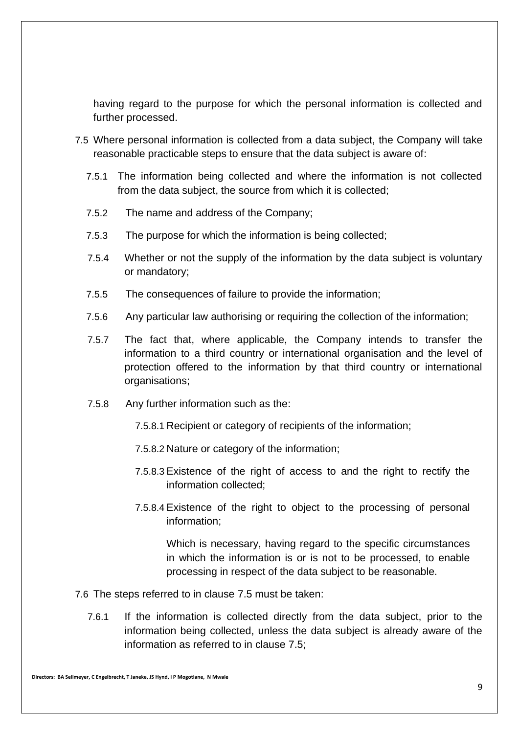having regard to the purpose for which the personal information is collected and further processed.

- 7.5 Where personal information is collected from a data subject, the Company will take reasonable practicable steps to ensure that the data subject is aware of:
	- 7.5.1 The information being collected and where the information is not collected from the data subject, the source from which it is collected;
	- 7.5.2 The name and address of the Company;
	- 7.5.3 The purpose for which the information is being collected;
	- 7.5.4 Whether or not the supply of the information by the data subject is voluntary or mandatory;
	- 7.5.5 The consequences of failure to provide the information;
	- 7.5.6 Any particular law authorising or requiring the collection of the information;
	- 7.5.7 The fact that, where applicable, the Company intends to transfer the information to a third country or international organisation and the level of protection offered to the information by that third country or international organisations;
	- 7.5.8 Any further information such as the:
		- 7.5.8.1 Recipient or category of recipients of the information;
		- 7.5.8.2 Nature or category of the information;
		- 7.5.8.3 Existence of the right of access to and the right to rectify the information collected;
		- 7.5.8.4 Existence of the right to object to the processing of personal information;

Which is necessary, having regard to the specific circumstances in which the information is or is not to be processed, to enable processing in respect of the data subject to be reasonable.

- 7.6 The steps referred to in clause 7.5 must be taken:
	- 7.6.1 If the information is collected directly from the data subject, prior to the information being collected, unless the data subject is already aware of the information as referred to in clause 7.5;

**Directors: BA Sellmeyer, C Engelbrecht, T Janeke, JS Hynd, I P Mogotlane, N Mwale**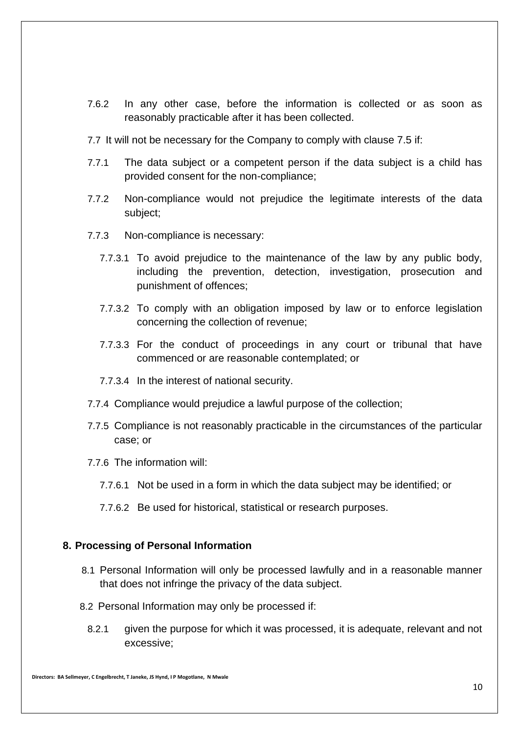- 7.6.2 In any other case, before the information is collected or as soon as reasonably practicable after it has been collected.
- 7.7 It will not be necessary for the Company to comply with clause 7.5 if:
- 7.7.1 The data subject or a competent person if the data subject is a child has provided consent for the non-compliance;
- 7.7.2 Non-compliance would not prejudice the legitimate interests of the data subject;
- 7.7.3 Non-compliance is necessary:
	- 7.7.3.1 To avoid prejudice to the maintenance of the law by any public body, including the prevention, detection, investigation, prosecution and punishment of offences;
	- 7.7.3.2 To comply with an obligation imposed by law or to enforce legislation concerning the collection of revenue;
	- 7.7.3.3 For the conduct of proceedings in any court or tribunal that have commenced or are reasonable contemplated; or
	- 7.7.3.4 In the interest of national security.
- 7.7.4 Compliance would prejudice a lawful purpose of the collection;
- 7.7.5 Compliance is not reasonably practicable in the circumstances of the particular case; or
- 7.7.6 The information will:
	- 7.7.6.1 Not be used in a form in which the data subject may be identified; or
	- 7.7.6.2 Be used for historical, statistical or research purposes.

#### **8. Processing of Personal Information**

- 8.1 Personal Information will only be processed lawfully and in a reasonable manner that does not infringe the privacy of the data subject.
- 8.2 Personal Information may only be processed if:
	- 8.2.1 given the purpose for which it was processed, it is adequate, relevant and not excessive;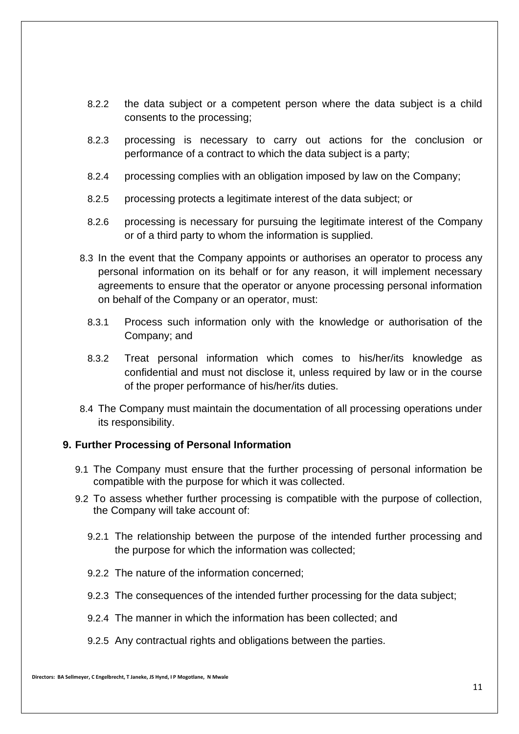- 8.2.2 the data subject or a competent person where the data subject is a child consents to the processing;
- 8.2.3 processing is necessary to carry out actions for the conclusion or performance of a contract to which the data subject is a party;
- 8.2.4 processing complies with an obligation imposed by law on the Company;
- 8.2.5 processing protects a legitimate interest of the data subject; or
- 8.2.6 processing is necessary for pursuing the legitimate interest of the Company or of a third party to whom the information is supplied.
- 8.3 In the event that the Company appoints or authorises an operator to process any personal information on its behalf or for any reason, it will implement necessary agreements to ensure that the operator or anyone processing personal information on behalf of the Company or an operator, must:
	- 8.3.1 Process such information only with the knowledge or authorisation of the Company; and
	- 8.3.2 Treat personal information which comes to his/her/its knowledge as confidential and must not disclose it, unless required by law or in the course of the proper performance of his/her/its duties.
- 8.4 The Company must maintain the documentation of all processing operations under its responsibility.

#### **9. Further Processing of Personal Information**

- 9.1 The Company must ensure that the further processing of personal information be compatible with the purpose for which it was collected.
- 9.2 To assess whether further processing is compatible with the purpose of collection, the Company will take account of:
	- 9.2.1 The relationship between the purpose of the intended further processing and the purpose for which the information was collected;
	- 9.2.2 The nature of the information concerned;
	- 9.2.3 The consequences of the intended further processing for the data subject;
	- 9.2.4 The manner in which the information has been collected; and
	- 9.2.5 Any contractual rights and obligations between the parties.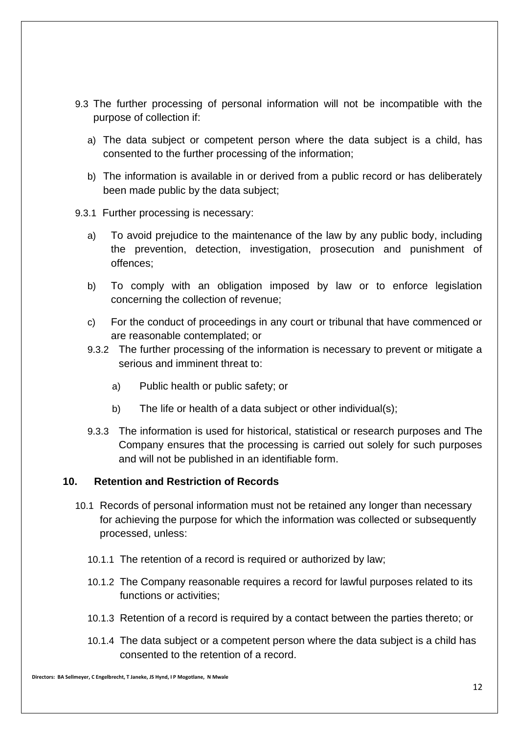- 9.3 The further processing of personal information will not be incompatible with the purpose of collection if:
	- a) The data subject or competent person where the data subject is a child, has consented to the further processing of the information;
	- b) The information is available in or derived from a public record or has deliberately been made public by the data subject;
- 9.3.1 Further processing is necessary:
	- a) To avoid prejudice to the maintenance of the law by any public body, including the prevention, detection, investigation, prosecution and punishment of offences;
	- b) To comply with an obligation imposed by law or to enforce legislation concerning the collection of revenue;
	- c) For the conduct of proceedings in any court or tribunal that have commenced or are reasonable contemplated; or
	- 9.3.2 The further processing of the information is necessary to prevent or mitigate a serious and imminent threat to:
		- a) Public health or public safety; or
		- b) The life or health of a data subject or other individual(s);
	- 9.3.3 The information is used for historical, statistical or research purposes and The Company ensures that the processing is carried out solely for such purposes and will not be published in an identifiable form.

#### **10. Retention and Restriction of Records**

- 10.1 Records of personal information must not be retained any longer than necessary for achieving the purpose for which the information was collected or subsequently processed, unless:
	- 10.1.1 The retention of a record is required or authorized by law;
	- 10.1.2 The Company reasonable requires a record for lawful purposes related to its functions or activities;
	- 10.1.3 Retention of a record is required by a contact between the parties thereto; or
	- 10.1.4 The data subject or a competent person where the data subject is a child has consented to the retention of a record.

**Directors: BA Sellmeyer, C Engelbrecht, T Janeke, JS Hynd, I P Mogotlane, N Mwale**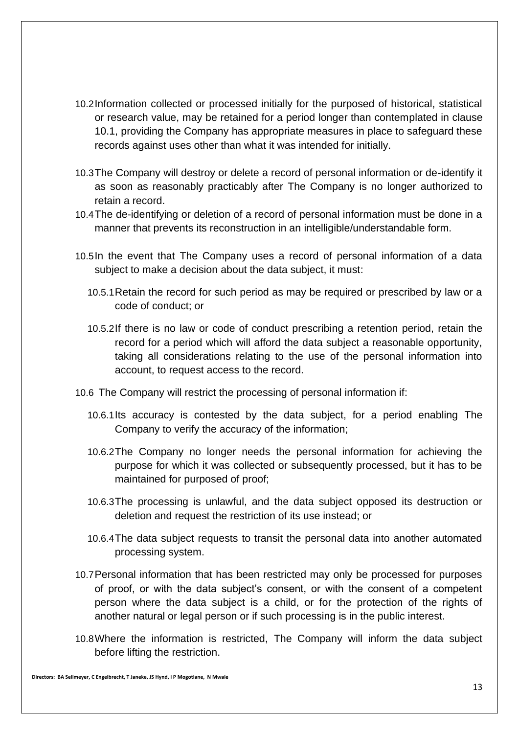- 10.2Information collected or processed initially for the purposed of historical, statistical or research value, may be retained for a period longer than contemplated in clause 10.1, providing the Company has appropriate measures in place to safeguard these records against uses other than what it was intended for initially.
- 10.3The Company will destroy or delete a record of personal information or de-identify it as soon as reasonably practicably after The Company is no longer authorized to retain a record.
- 10.4The de-identifying or deletion of a record of personal information must be done in a manner that prevents its reconstruction in an intelligible/understandable form.
- 10.5In the event that The Company uses a record of personal information of a data subject to make a decision about the data subject, it must:
	- 10.5.1Retain the record for such period as may be required or prescribed by law or a code of conduct; or
	- 10.5.2If there is no law or code of conduct prescribing a retention period, retain the record for a period which will afford the data subject a reasonable opportunity, taking all considerations relating to the use of the personal information into account, to request access to the record.
- 10.6 The Company will restrict the processing of personal information if:
	- 10.6.1Its accuracy is contested by the data subject, for a period enabling The Company to verify the accuracy of the information;
	- 10.6.2The Company no longer needs the personal information for achieving the purpose for which it was collected or subsequently processed, but it has to be maintained for purposed of proof;
	- 10.6.3The processing is unlawful, and the data subject opposed its destruction or deletion and request the restriction of its use instead; or
	- 10.6.4The data subject requests to transit the personal data into another automated processing system.
- 10.7Personal information that has been restricted may only be processed for purposes of proof, or with the data subject's consent, or with the consent of a competent person where the data subject is a child, or for the protection of the rights of another natural or legal person or if such processing is in the public interest.
- 10.8Where the information is restricted, The Company will inform the data subject before lifting the restriction.

**Directors: BA Sellmeyer, C Engelbrecht, T Janeke, JS Hynd, I P Mogotlane, N Mwale**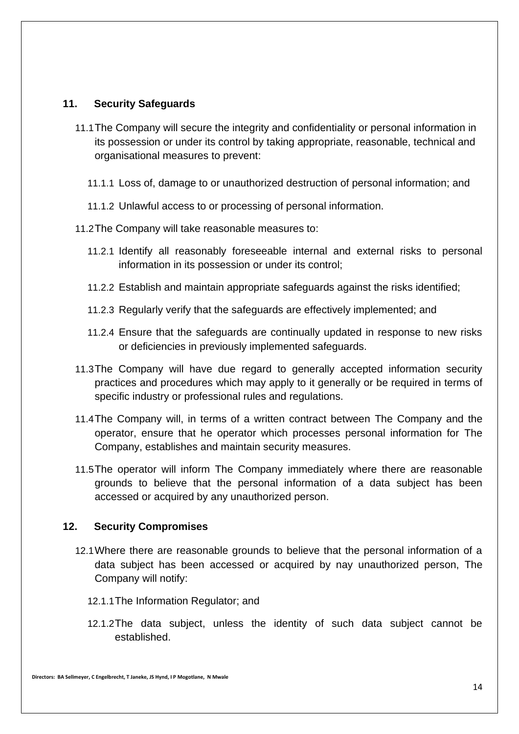### **11. Security Safeguards**

- 11.1The Company will secure the integrity and confidentiality or personal information in its possession or under its control by taking appropriate, reasonable, technical and organisational measures to prevent:
	- 11.1.1 Loss of, damage to or unauthorized destruction of personal information; and
	- 11.1.2 Unlawful access to or processing of personal information.
- 11.2The Company will take reasonable measures to:
	- 11.2.1 Identify all reasonably foreseeable internal and external risks to personal information in its possession or under its control;
	- 11.2.2 Establish and maintain appropriate safeguards against the risks identified;
	- 11.2.3 Regularly verify that the safeguards are effectively implemented; and
	- 11.2.4 Ensure that the safeguards are continually updated in response to new risks or deficiencies in previously implemented safeguards.
- 11.3The Company will have due regard to generally accepted information security practices and procedures which may apply to it generally or be required in terms of specific industry or professional rules and regulations.
- 11.4The Company will, in terms of a written contract between The Company and the operator, ensure that he operator which processes personal information for The Company, establishes and maintain security measures.
- 11.5The operator will inform The Company immediately where there are reasonable grounds to believe that the personal information of a data subject has been accessed or acquired by any unauthorized person.

#### **12. Security Compromises**

- 12.1Where there are reasonable grounds to believe that the personal information of a data subject has been accessed or acquired by nay unauthorized person, The Company will notify:
	- 12.1.1The Information Regulator; and
	- 12.1.2The data subject, unless the identity of such data subject cannot be established.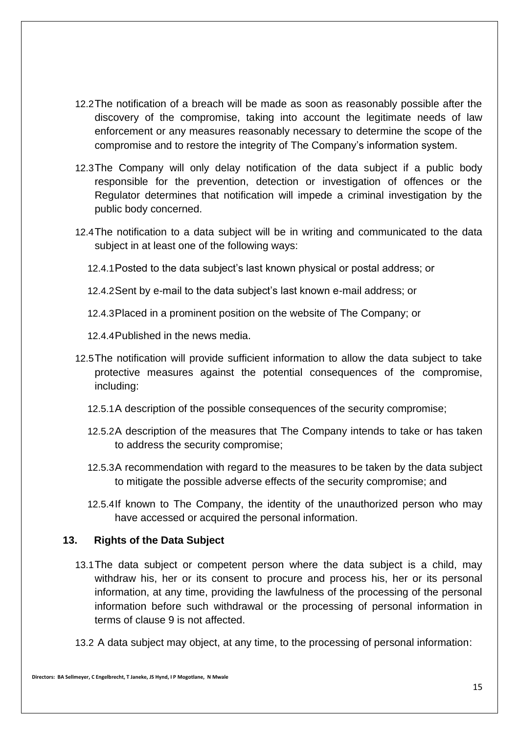- 12.2The notification of a breach will be made as soon as reasonably possible after the discovery of the compromise, taking into account the legitimate needs of law enforcement or any measures reasonably necessary to determine the scope of the compromise and to restore the integrity of The Company's information system.
- 12.3The Company will only delay notification of the data subject if a public body responsible for the prevention, detection or investigation of offences or the Regulator determines that notification will impede a criminal investigation by the public body concerned.
- 12.4The notification to a data subject will be in writing and communicated to the data subject in at least one of the following ways:
	- 12.4.1Posted to the data subject's last known physical or postal address; or

12.4.2Sent by e-mail to the data subject's last known e-mail address; or

12.4.3Placed in a prominent position on the website of The Company; or

12.4.4Published in the news media.

- 12.5The notification will provide sufficient information to allow the data subject to take protective measures against the potential consequences of the compromise, including:
	- 12.5.1A description of the possible consequences of the security compromise;
	- 12.5.2A description of the measures that The Company intends to take or has taken to address the security compromise;
	- 12.5.3A recommendation with regard to the measures to be taken by the data subject to mitigate the possible adverse effects of the security compromise; and
	- 12.5.4If known to The Company, the identity of the unauthorized person who may have accessed or acquired the personal information.

#### **13. Rights of the Data Subject**

- 13.1The data subject or competent person where the data subject is a child, may withdraw his, her or its consent to procure and process his, her or its personal information, at any time, providing the lawfulness of the processing of the personal information before such withdrawal or the processing of personal information in terms of clause 9 is not affected.
- 13.2 A data subject may object, at any time, to the processing of personal information: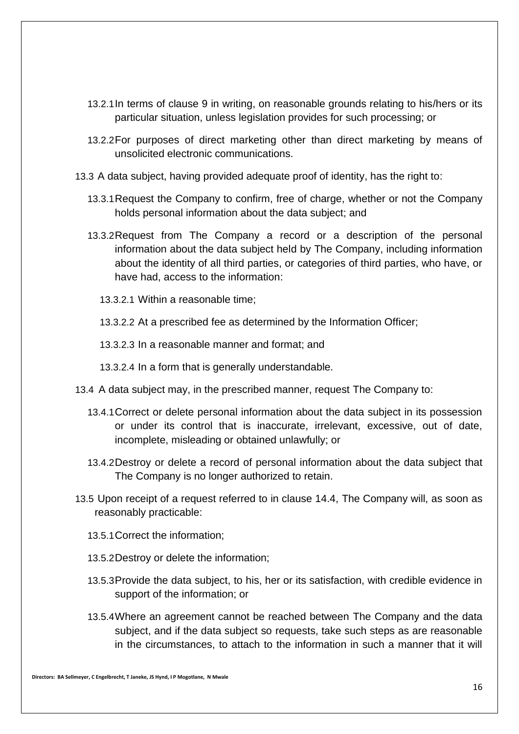- 13.2.1In terms of clause 9 in writing, on reasonable grounds relating to his/hers or its particular situation, unless legislation provides for such processing; or
- 13.2.2For purposes of direct marketing other than direct marketing by means of unsolicited electronic communications.
- 13.3 A data subject, having provided adequate proof of identity, has the right to:
	- 13.3.1Request the Company to confirm, free of charge, whether or not the Company holds personal information about the data subject; and
	- 13.3.2Request from The Company a record or a description of the personal information about the data subject held by The Company, including information about the identity of all third parties, or categories of third parties, who have, or have had, access to the information:
		- 13.3.2.1 Within a reasonable time;
		- 13.3.2.2 At a prescribed fee as determined by the Information Officer;
		- 13.3.2.3 In a reasonable manner and format; and
		- 13.3.2.4 In a form that is generally understandable.
- 13.4 A data subject may, in the prescribed manner, request The Company to:
	- 13.4.1Correct or delete personal information about the data subject in its possession or under its control that is inaccurate, irrelevant, excessive, out of date, incomplete, misleading or obtained unlawfully; or
	- 13.4.2Destroy or delete a record of personal information about the data subject that The Company is no longer authorized to retain.
- 13.5 Upon receipt of a request referred to in clause 14.4, The Company will, as soon as reasonably practicable:
	- 13.5.1Correct the information;
	- 13.5.2Destroy or delete the information;
	- 13.5.3Provide the data subject, to his, her or its satisfaction, with credible evidence in support of the information; or
	- 13.5.4Where an agreement cannot be reached between The Company and the data subject, and if the data subject so requests, take such steps as are reasonable in the circumstances, to attach to the information in such a manner that it will